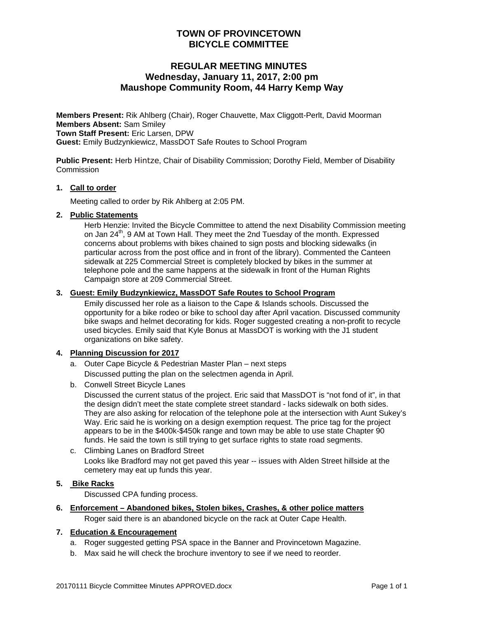# **TOWN OF PROVINCETOWN BICYCLE COMMITTEE**

# **REGULAR MEETING MINUTES Wednesday, January 11, 2017, 2:00 pm Maushope Community Room, 44 Harry Kemp Way**

**Members Present:** Rik Ahlberg (Chair), Roger Chauvette, Max Cliggott-Perlt, David Moorman **Members Absent:** Sam Smiley **Town Staff Present:** Eric Larsen, DPW **Guest:** Emily Budzynkiewicz, MassDOT Safe Routes to School Program

**Public Present:** Herb Hintze, Chair of Disability Commission; Dorothy Field, Member of Disability **Commission** 

#### **1. Call to order**

Meeting called to order by Rik Ahlberg at 2:05 PM.

### **2. Public Statements**

Herb Henzie: Invited the Bicycle Committee to attend the next Disability Commission meeting on Jan  $24<sup>th</sup>$ , 9 AM at Town Hall. They meet the 2nd Tuesday of the month. Expressed concerns about problems with bikes chained to sign posts and blocking sidewalks (in particular across from the post office and in front of the library). Commented the Canteen sidewalk at 225 Commercial Street is completely blocked by bikes in the summer at telephone pole and the same happens at the sidewalk in front of the Human Rights Campaign store at 209 Commercial Street.

### **3. Guest: Emily Budzynkiewicz, MassDOT Safe Routes to School Program**

Emily discussed her role as a liaison to the Cape & Islands schools. Discussed the opportunity for a bike rodeo or bike to school day after April vacation. Discussed community bike swaps and helmet decorating for kids. Roger suggested creating a non-profit to recycle used bicycles. Emily said that Kyle Bonus at MassDOT is working with the J1 student organizations on bike safety.

### **4. Planning Discussion for 2017**

- a. Outer Cape Bicycle & Pedestrian Master Plan next steps Discussed putting the plan on the selectmen agenda in April.
- b. Conwell Street Bicycle Lanes

Discussed the current status of the project. Eric said that MassDOT is "not fond of it", in that the design didn't meet the state complete street standard - lacks sidewalk on both sides. They are also asking for relocation of the telephone pole at the intersection with Aunt Sukey's Way. Eric said he is working on a design exemption request. The price tag for the project appears to be in the \$400k-\$450k range and town may be able to use state Chapter 90 funds. He said the town is still trying to get surface rights to state road segments.

c. Climbing Lanes on Bradford Street Looks like Bradford may not get paved this year -- issues with Alden Street hillside at the cemetery may eat up funds this year.

#### **5. Bike Racks**

Discussed CPA funding process.

### **6. Enforcement – Abandoned bikes, Stolen bikes, Crashes, & other police matters**

Roger said there is an abandoned bicycle on the rack at Outer Cape Health.

## **7. Education & Encouragement**

- a. Roger suggested getting PSA space in the Banner and Provincetown Magazine.
- b. Max said he will check the brochure inventory to see if we need to reorder.